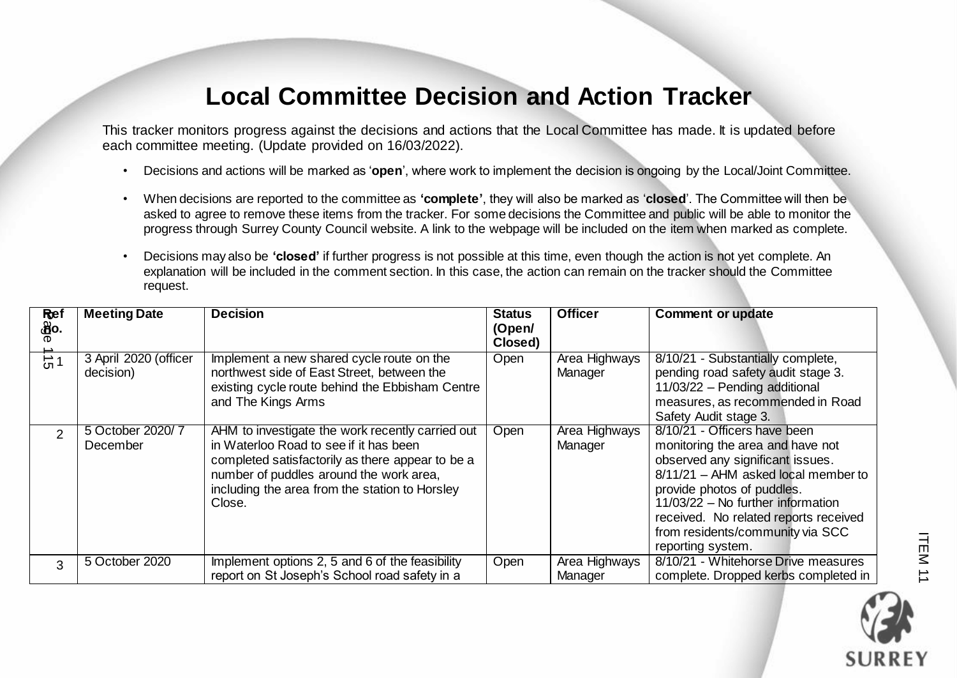## **Local Committee Decision and Action Tracker**

This tracker monitors progress against the decisions and actions that the Local Committee has made. It is updated before each committee meeting. (Update provided on 16/03/2022).

- Decisions and actions will be marked as '**open**', where work to implement the decision is ongoing by the Local/Joint Committee.
- When decisions are reported to the committee as **'complete'**, they will also be marked as '**closed**'. The Committee will then be asked to agree to remove these items from the tracker. For some decisions the Committee and public will be able to monitor the progress through Surrey County Council website. A link to the webpage will be included on the item when marked as complete.
- Decisions may also be **'closed'** if further progress is not possible at this time, even though the action is not yet complete. An explanation will be included in the comment section. In this case, the action can remain on the tracker should the Committee request.

| Ref<br>ക്ക്ര.  | <b>Meeting Date</b>                | <b>Decision</b>                                                                                                                                                                                                                                       | <b>Status</b><br>(Open/<br>Closed) | <b>Officer</b>           | <b>Comment or update</b>                                                                                                                                                                                                                                                                                         |
|----------------|------------------------------------|-------------------------------------------------------------------------------------------------------------------------------------------------------------------------------------------------------------------------------------------------------|------------------------------------|--------------------------|------------------------------------------------------------------------------------------------------------------------------------------------------------------------------------------------------------------------------------------------------------------------------------------------------------------|
| $\vec{c}$      | 3 April 2020 (officer<br>decision) | Implement a new shared cycle route on the<br>northwest side of East Street, between the<br>existing cycle route behind the Ebbisham Centre<br>and The Kings Arms                                                                                      | Open                               | Area Highways<br>Manager | 8/10/21 - Substantially complete,<br>pending road safety audit stage 3.<br>11/03/22 - Pending additional<br>measures, as recommended in Road<br>Safety Audit stage 3.                                                                                                                                            |
| $\overline{2}$ | 5 October 2020/7<br>December       | AHM to investigate the work recently carried out<br>in Waterloo Road to see if it has been<br>completed satisfactorily as there appear to be a<br>number of puddles around the work area,<br>including the area from the station to Horsley<br>Close. | Open                               | Area Highways<br>Manager | 8/10/21 - Officers have been<br>monitoring the area and have not<br>observed any significant issues.<br>8/11/21 - AHM asked local member to<br>provide photos of puddles.<br>11/03/22 - No further information<br>received. No related reports received<br>from residents/community via SCC<br>reporting system. |
| 3              | 5 October 2020                     | Implement options 2, 5 and 6 of the feasibility<br>report on St Joseph's School road safety in a                                                                                                                                                      | Open                               | Area Highways<br>Manager | 8/10/21 - Whitehorse Drive measures<br>complete. Dropped kerbs completed in                                                                                                                                                                                                                                      |



ITEM<sub>1</sub>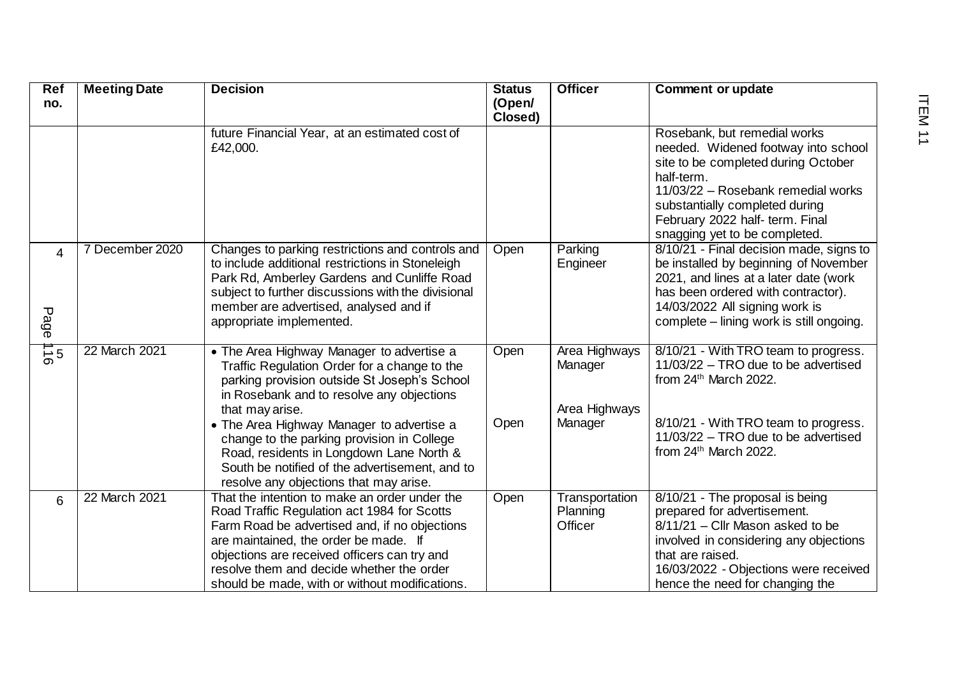| <b>Ref</b><br>no.          | <b>Meeting Date</b> | <b>Decision</b>                                                                                                                                                                                                                                                                                                                                                                                                                              | <b>Status</b><br>(Open/<br>Closed) | <b>Officer</b>                                       | <b>Comment or update</b>                                                                                                                                                                                                                                            |
|----------------------------|---------------------|----------------------------------------------------------------------------------------------------------------------------------------------------------------------------------------------------------------------------------------------------------------------------------------------------------------------------------------------------------------------------------------------------------------------------------------------|------------------------------------|------------------------------------------------------|---------------------------------------------------------------------------------------------------------------------------------------------------------------------------------------------------------------------------------------------------------------------|
|                            |                     | future Financial Year, at an estimated cost of<br>£42,000.                                                                                                                                                                                                                                                                                                                                                                                   |                                    |                                                      | Rosebank, but remedial works<br>needed. Widened footway into school<br>site to be completed during October<br>half-term.<br>11/03/22 - Rosebank remedial works<br>substantially completed during<br>February 2022 half-term. Final<br>snagging yet to be completed. |
| $\overline{4}$<br>Page     | 7 December 2020     | Changes to parking restrictions and controls and<br>to include additional restrictions in Stoneleigh<br>Park Rd, Amberley Gardens and Cunliffe Road<br>subject to further discussions with the divisional<br>member are advertised, analysed and if<br>appropriate implemented.                                                                                                                                                              | Open                               | Parking<br>Engineer                                  | 8/10/21 - Final decision made, signs to<br>be installed by beginning of November<br>2021, and lines at a later date (work<br>has been ordered with contractor).<br>14/03/2022 All signing work is<br>complete - lining work is still ongoing.                       |
| $\frac{1}{9}$ <sup>5</sup> | 22 March 2021       | • The Area Highway Manager to advertise a<br>Traffic Regulation Order for a change to the<br>parking provision outside St Joseph's School<br>in Rosebank and to resolve any objections<br>that may arise.<br>• The Area Highway Manager to advertise a<br>change to the parking provision in College<br>Road, residents in Longdown Lane North &<br>South be notified of the advertisement, and to<br>resolve any objections that may arise. | Open<br>Open                       | Area Highways<br>Manager<br>Area Highways<br>Manager | 8/10/21 - With TRO team to progress.<br>11/03/22 - TRO due to be advertised<br>from 24th March 2022.<br>8/10/21 - With TRO team to progress.<br>11/03/22 - TRO due to be advertised<br>from 24th March 2022.                                                        |
| 6                          | 22 March 2021       | That the intention to make an order under the<br>Road Traffic Regulation act 1984 for Scotts<br>Farm Road be advertised and, if no objections<br>are maintained, the order be made. If<br>objections are received officers can try and<br>resolve them and decide whether the order<br>should be made, with or without modifications.                                                                                                        | Open                               | Transportation<br>Planning<br>Officer                | 8/10/21 - The proposal is being<br>prepared for advertisement.<br>8/11/21 - Cllr Mason asked to be<br>involved in considering any objections<br>that are raised.<br>16/03/2022 - Objections were received<br>hence the need for changing the                        |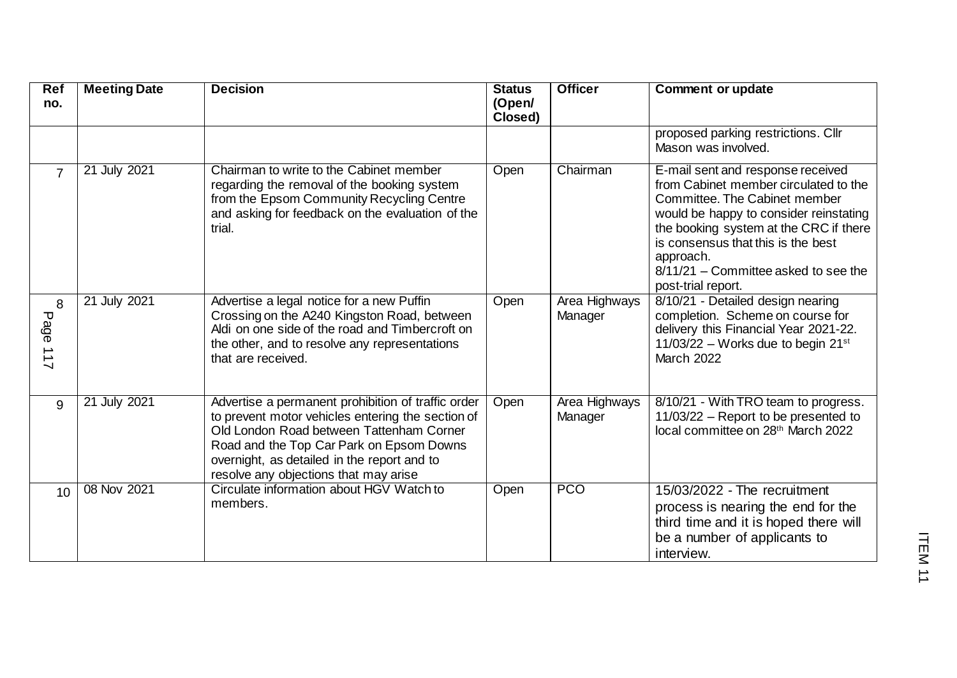| <b>Ref</b><br>no. | <b>Meeting Date</b> | <b>Decision</b>                                                                                                                                                                                                                                                                         | <b>Status</b><br>(Open/<br>Closed) | <b>Officer</b>                  | <b>Comment or update</b>                                                                                                                                                                                                                                                                                         |
|-------------------|---------------------|-----------------------------------------------------------------------------------------------------------------------------------------------------------------------------------------------------------------------------------------------------------------------------------------|------------------------------------|---------------------------------|------------------------------------------------------------------------------------------------------------------------------------------------------------------------------------------------------------------------------------------------------------------------------------------------------------------|
|                   |                     |                                                                                                                                                                                                                                                                                         |                                    |                                 | proposed parking restrictions. Cllr<br>Mason was involved.                                                                                                                                                                                                                                                       |
| $\overline{7}$    | 21 July 2021        | Chairman to write to the Cabinet member<br>regarding the removal of the booking system<br>from the Epsom Community Recycling Centre<br>and asking for feedback on the evaluation of the<br>trial.                                                                                       | Open                               | Chairman                        | E-mail sent and response received<br>from Cabinet member circulated to the<br>Committee. The Cabinet member<br>would be happy to consider reinstating<br>the booking system at the CRC if there<br>is consensus that this is the best<br>approach.<br>8/11/21 - Committee asked to see the<br>post-trial report. |
| 8<br>Page<br>11   | 21 July 2021        | Advertise a legal notice for a new Puffin<br>Crossing on the A240 Kingston Road, between<br>Aldi on one side of the road and Timbercroft on<br>the other, and to resolve any representations<br>that are received.                                                                      | Open                               | Area Highways<br>Manager        | 8/10/21 - Detailed design nearing<br>completion. Scheme on course for<br>delivery this Financial Year 2021-22.<br>11/03/22 - Works due to begin $21^{st}$<br><b>March 2022</b>                                                                                                                                   |
| 9                 | 21 July 2021        | Advertise a permanent prohibition of traffic order<br>to prevent motor vehicles entering the section of<br>Old London Road between Tattenham Corner<br>Road and the Top Car Park on Epsom Downs<br>overnight, as detailed in the report and to<br>resolve any objections that may arise | Open                               | <b>Area Highways</b><br>Manager | 8/10/21 - With TRO team to progress.<br>11/03/22 - Report to be presented to<br>local committee on 28 <sup>th</sup> March 2022                                                                                                                                                                                   |
| 10                | 08 Nov 2021         | Circulate information about HGV Watch to<br>members.                                                                                                                                                                                                                                    | Open                               | <b>PCO</b>                      | 15/03/2022 - The recruitment<br>process is nearing the end for the<br>third time and it is hoped there will<br>be a number of applicants to<br>interview.                                                                                                                                                        |